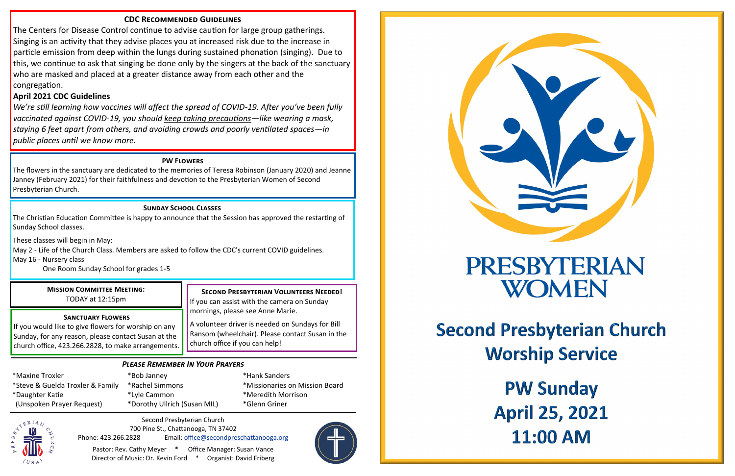# *Please Remember In Your Prayers*

Second Presbyterian Church 700 Pine St., Chattanooga, TN 37402 Phone: 423.266.2828 Email: [office@secondpreschattanooga.org](mailto:office@secondpreschattanooga.org?subject=Second%20Presbyterian%20Office)

Pastor: Rev. Cathy Meyer \* Office Manager: Susan Vance Director of Music: Dr. Kevin Ford \* Organist: David Friberg





# PRESBYTERIAN WOMEN

**PW Sunday April 25, 2021 11:00 AM** 

**Second Presbyterian Church Worship Service** 

\*Maxine Troxler \*Steve & Guelda Troxler & Family \*Daughter Katie (Unspoken Prayer Request)

\*Bob Janney \*Rachel Simmons \*Lyle Cammon \*Dorothy Ullrich (Susan MIL)

\*Hank Sanders \*Missionaries on Mission Board \*Meredith Morrison \*Glenn Griner



# **Second Presbyterian Volunteers Needed!**

If you can assist with the camera on Sunday mornings, please see Anne Marie.

A volunteer driver is needed on Sundays for Bill Ransom (wheelchair). Please contact Susan in the church office if you can help!

### **Sanctuary Flowers**

If you would like to give flowers for worship on any Sunday, for any reason, please contact Susan at the church office, 423.266.2828, to make arrangements.

### **Mission Committee Meeting:** TODAY at 12:15pm

### **PW Flowers**

The flowers in the sanctuary are dedicated to the memories of Teresa Robinson (January 2020) and Jeanne Janney (February 2021) for their faithfulness and devotion to the Presbyterian Women of Second Presbyterian Church.

# **CDC Recommended Guidelines**

The Centers for Disease Control continue to advise caution for large group gatherings. Singing is an activity that they advise places you at increased risk due to the increase in particle emission from deep within the lungs during sustained phonation (singing). Due to this, we continue to ask that singing be done only by the singers at the back of the sanctuary who are masked and placed at a greater distance away from each other and the congregation.

# **April 2021 CDC Guidelines**

*We're still learning how vaccines will affect the spread of COVID-19. After you've been fully vaccinated against COVID-19, you should [keep taking precautions—l](https://www.cdc.gov/coronavirus/2019-ncov/prevent-getting-sick/prevention.html)ike wearing a mask, staying 6 feet apart from others, and avoiding crowds and poorly ventilated spaces—in public places until we know more.* 

### **Sunday School Classes**

The Christian Education Committee is happy to announce that the Session has approved the restarting of Sunday School classes.

These classes will begin in May:

May 2 - Life of the Church Class. Members are asked to follow the CDC's current COVID guidelines.

May 16 - Nursery class

One Room Sunday School for grades 1-5